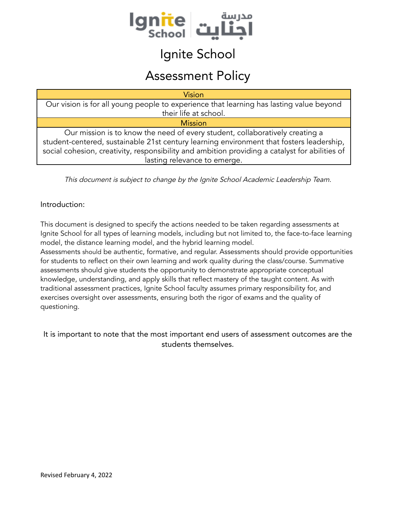

### Ignite School

### Assessment Policy

| <b>Vision</b>                                                                                                                                                                                                                                                                                              |  |  |  |  |  |  |  |
|------------------------------------------------------------------------------------------------------------------------------------------------------------------------------------------------------------------------------------------------------------------------------------------------------------|--|--|--|--|--|--|--|
| Our vision is for all young people to experience that learning has lasting value beyond                                                                                                                                                                                                                    |  |  |  |  |  |  |  |
| their life at school.                                                                                                                                                                                                                                                                                      |  |  |  |  |  |  |  |
| <b>Mission</b>                                                                                                                                                                                                                                                                                             |  |  |  |  |  |  |  |
| Our mission is to know the need of every student, collaboratively creating a<br>student-centered, sustainable 21st century learning environment that fosters leadership,<br>social cohesion, creativity, responsibility and ambition providing a catalyst for abilities of<br>lasting relevance to emerge. |  |  |  |  |  |  |  |

This document is subject to change by the Ignite School Academic Leadership Team.

#### Introduction:

This document is designed to specify the actions needed to be taken regarding assessments at Ignite School for all types of learning models, including but not limited to, the face-to-face learning model, the distance learning model, and the hybrid learning model.

Assessments should be authentic, formative, and regular. Assessments should provide opportunities for students to reflect on their own learning and work quality during the class/course. Summative assessments should give students the opportunity to demonstrate appropriate conceptual knowledge, understanding, and apply skills that reflect mastery of the taught content. As with traditional assessment practices, Ignite School faculty assumes primary responsibility for, and exercises oversight over assessments, ensuring both the rigor of exams and the quality of questioning.

It is important to note that the most important end users of assessment outcomes are the students themselves.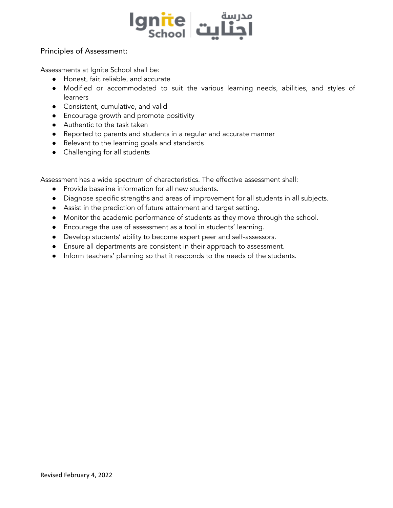

#### Principles of Assessment:

Assessments at Ignite School shall be:

- Honest, fair, reliable, and accurate
- Modified or accommodated to suit the various learning needs, abilities, and styles of learners
- Consistent, cumulative, and valid
- Encourage growth and promote positivity
- Authentic to the task taken
- Reported to parents and students in a regular and accurate manner
- Relevant to the learning goals and standards
- Challenging for all students

Assessment has a wide spectrum of characteristics. The effective assessment shall:

- Provide baseline information for all new students.
- Diagnose specific strengths and areas of improvement for all students in all subjects.
- Assist in the prediction of future attainment and target setting.
- Monitor the academic performance of students as they move through the school.
- Encourage the use of assessment as a tool in students' learning.
- Develop students' ability to become expert peer and self-assessors.
- Ensure all departments are consistent in their approach to assessment.
- Inform teachers' planning so that it responds to the needs of the students.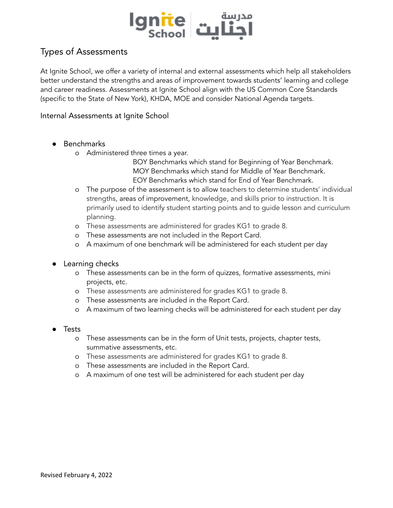

#### Types of Assessments

At Ignite School, we offer a variety of internal and external assessments which help all stakeholders better understand the strengths and areas of improvement towards students' learning and college and career readiness. Assessments at Ignite School align with the US Common Core Standards (specific to the State of New York), KHDA, MOE and consider National Agenda targets.

#### Internal Assessments at Ignite School

- **●** Benchmarks
	- o Administered three times a year.

BOY Benchmarks which stand for Beginning of Year Benchmark. MOY Benchmarks which stand for Middle of Year Benchmark. EOY Benchmarks which stand for End of Year Benchmark.

- o The purpose of the assessment is to allow teachers to determine students' individual strengths, areas of improvement, knowledge, and skills prior to instruction. It is primarily used to identify student starting points and to guide lesson and curriculum planning.
- o These assessments are administered for grades KG1 to grade 8.
- o These assessments are not included in the Report Card.
- o A maximum of one benchmark will be administered for each student per day
- **●** Learning checks
	- o These assessments can be in the form of quizzes, formative assessments, mini projects, etc.
	- o These assessments are administered for grades KG1 to grade 8.
	- o These assessments are included in the Report Card.
	- o A maximum of two learning checks will be administered for each student per day
- **●** Tests
	- o These assessments can be in the form of Unit tests, projects, chapter tests, summative assessments, etc.
	- o These assessments are administered for grades KG1 to grade 8.
	- o These assessments are included in the Report Card.
	- o A maximum of one test will be administered for each student per day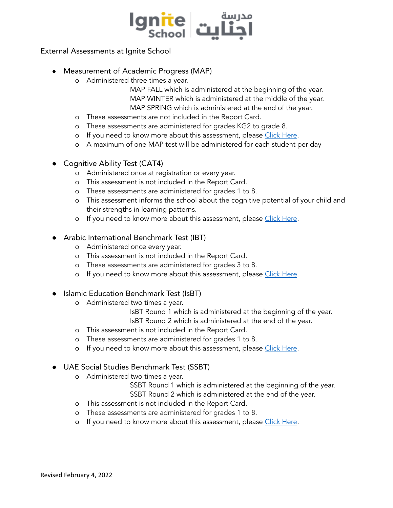

#### External Assessments at Ignite School

- **●** Measurement of Academic Progress (MAP)
	- o Administered three times a year.

MAP FALL which is administered at the beginning of the year. MAP WINTER which is administered at the middle of the year. MAP SPRING which is administered at the end of the year.

- o These assessments are not included in the Report Card.
- o These assessments are administered for grades KG2 to grade 8.
- o If you need to know more about this assessment, please Click [Here](https://www.nwea.org/map-growth/).
- o A maximum of one MAP test will be administered for each student per day
- **Cognitive Ability Test (CAT4)** 
	- o Administered once at registration or every year.
	- o This assessment is not included in the Report Card.
	- o These assessments are administered for grades 1 to 8.
	- o This assessment informs the school about the cognitive potential of your child and their strengths in learning patterns.
	- o If you need to know more about this assessment, please Click [Here](https://gl-education.com/products/cognitive-abilities-test-cat4/).

#### **●** Arabic International Benchmark Test (IBT)

- o Administered once every year.
- o This assessment is not included in the Report Card.
- o These assessments are administered for grades 3 to 8.
- o If you need to know more about this assessment, please Click [Here](https://www.acer-ibt.org/au/ibt-2021).
- **●** Islamic Education Benchmark Test (IsBT)
	- o Administered two times a year.
		- IsBT Round 1 which is administered at the beginning of the year.
		- IsBT Round 2 which is administered at the end of the year.
	- o This assessment is not included in the Report Card.
	- o These assessments are administered for grades 1 to 8.
	- o If you need to know more about this assessment, please Click [Here](https://www.islamic-uae.com/fileHome/What%20is%20Is.B.T.pdf).
- **●** UAE Social Studies Benchmark Test (SSBT)
	- o Administered two times a year.

SSBT Round 1 which is administered at the beginning of the year. SSBT Round 2 which is administered at the end of the year.

- o This assessment is not included in the Report Card.
- o These assessments are administered for grades 1 to 8.
- o If you need to know more about this assessment, please Click [Here](https://www.social-uae.com/).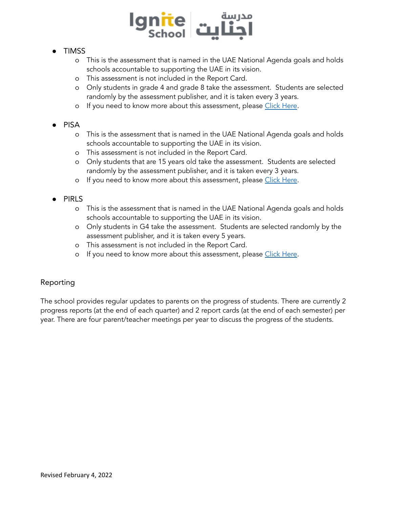

#### **●** TIMSS

- o This is the assessment that is named in the UAE National Agenda goals and holds schools accountable to supporting the UAE in its vision.
- o This assessment is not included in the Report Card.
- o Only students in grade 4 and grade 8 take the assessment. Students are selected randomly by the assessment publisher, and it is taken every 3 years.
- o If you need to know more about this assessment, please Click [Here](https://www.acer.org/au/timss).

#### **●** PISA

- o This is the assessment that is named in the UAE National Agenda goals and holds schools accountable to supporting the UAE in its vision.
- o This assessment is not included in the Report Card.
- o Only students that are 15 years old take the assessment. Students are selected randomly by the assessment publisher, and it is taken every 3 years.
- o If you need to know more about this assessment, please Click [Here](https://www.acer.org/au/pisa).

#### **●** PIRLS

- o This is the assessment that is named in the UAE National Agenda goals and holds schools accountable to supporting the UAE in its vision.
- o Only students in G4 take the assessment. Students are selected randomly by the assessment publisher, and it is taken every 5 years.
- o This assessment is not included in the Report Card.
- o If you need to know more about this assessment, please Click [Here](https://www.acer.org/au/pirls).

#### Reporting

The school provides regular updates to parents on the progress of students. There are currently 2 progress reports (at the end of each quarter) and 2 report cards (at the end of each semester) per year. There are four parent/teacher meetings per year to discuss the progress of the students.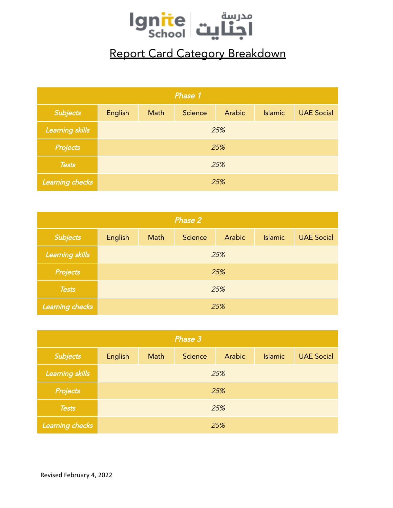

## Report Card Category Breakdown

| Phase 1         |         |      |         |        |                |                   |  |  |  |
|-----------------|---------|------|---------|--------|----------------|-------------------|--|--|--|
| Subjects        | English | Math | Science | Arabic | <b>Islamic</b> | <b>UAE Social</b> |  |  |  |
| Learning skills | 25%     |      |         |        |                |                   |  |  |  |
| Projects        | 25%     |      |         |        |                |                   |  |  |  |
| <b>Tests</b>    | 25%     |      |         |        |                |                   |  |  |  |
| Learning checks | 25%     |      |         |        |                |                   |  |  |  |

| Phase 2         |         |      |         |        |                |                   |  |  |  |
|-----------------|---------|------|---------|--------|----------------|-------------------|--|--|--|
| <b>Subjects</b> | English | Math | Science | Arabic | <b>Islamic</b> | <b>UAE Social</b> |  |  |  |
| Learning skills | 25%     |      |         |        |                |                   |  |  |  |
| <b>Projects</b> | 25%     |      |         |        |                |                   |  |  |  |
| <b>Tests</b>    | 25%     |      |         |        |                |                   |  |  |  |
| Learning checks | 25%     |      |         |        |                |                   |  |  |  |

| Phase 3         |         |      |         |        |                |                   |  |  |  |
|-----------------|---------|------|---------|--------|----------------|-------------------|--|--|--|
| Subjects        | English | Math | Science | Arabic | <b>Islamic</b> | <b>UAE Social</b> |  |  |  |
| Learning skills | 25%     |      |         |        |                |                   |  |  |  |
| <b>Projects</b> | 25%     |      |         |        |                |                   |  |  |  |
| <b>Tests</b>    | 25%     |      |         |        |                |                   |  |  |  |
| Learning checks | 25%     |      |         |        |                |                   |  |  |  |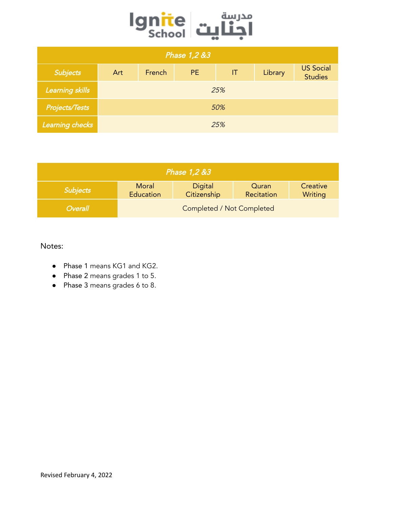

| Phase 1,2 &3          |     |        |     |                        |         |                                    |  |  |  |
|-----------------------|-----|--------|-----|------------------------|---------|------------------------------------|--|--|--|
| Subjects              | Art | French | PE. | $\mathsf{I}\mathsf{T}$ | Library | <b>US Social</b><br><b>Studies</b> |  |  |  |
| Learning skills       | 25% |        |     |                        |         |                                    |  |  |  |
| <b>Projects/Tests</b> | 50% |        |     |                        |         |                                    |  |  |  |
| Learning checks       | 25% |        |     |                        |         |                                    |  |  |  |

| Phase 1,2 &3    |                                                                                            |  |  |  |  |  |  |  |
|-----------------|--------------------------------------------------------------------------------------------|--|--|--|--|--|--|--|
| <b>Subjects</b> | Moral<br>Creative<br>Digital<br>Quran<br>Citizenship<br>Education<br>Recitation<br>Writing |  |  |  |  |  |  |  |
| <b>Overall</b>  | Completed / Not Completed                                                                  |  |  |  |  |  |  |  |

Notes:

- Phase 1 means KG1 and KG2.
- Phase 2 means grades 1 to 5.
- Phase 3 means grades 6 to 8.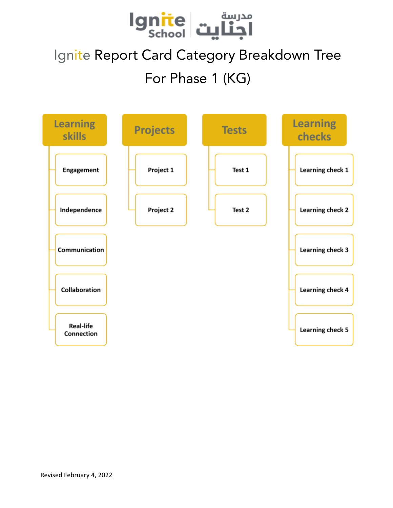

# Ignite Report Card Category Breakdown Tree For Phase 1 (KG)

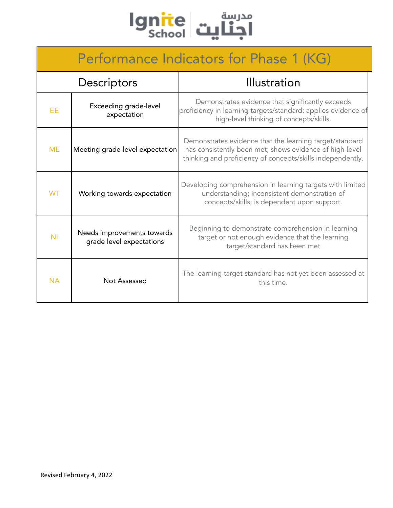

## Performance Indicators for Phase 1 (KG)

|                | Descriptors                                            | Illustration                                                                                                                                                                     |
|----------------|--------------------------------------------------------|----------------------------------------------------------------------------------------------------------------------------------------------------------------------------------|
| EE             | Exceeding grade-level<br>expectation                   | Demonstrates evidence that significantly exceeds<br>proficiency in learning targets/standard; applies evidence of<br>high-level thinking of concepts/skills.                     |
| <b>ME</b>      | Meeting grade-level expectation                        | Demonstrates evidence that the learning target/standard<br>has consistently been met; shows evidence of high-level<br>thinking and proficiency of concepts/skills independently. |
| <b>WT</b>      | Working towards expectation                            | Developing comprehension in learning targets with limited<br>understanding; inconsistent demonstration of<br>concepts/skills; is dependent upon support.                         |
| N <sub>1</sub> | Needs improvements towards<br>grade level expectations | Beginning to demonstrate comprehension in learning<br>target or not enough evidence that the learning<br>target/standard has been met                                            |
| <b>NA</b>      | Not Assessed                                           | The learning target standard has not yet been assessed at<br>this time.                                                                                                          |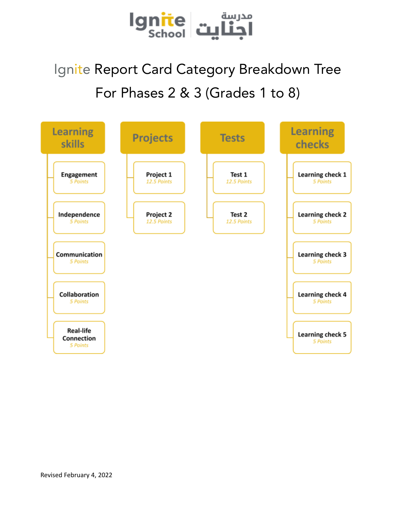

# Ignite Report Card Category Breakdown Tree For Phases 2 & 3 (Grades 1 to 8)

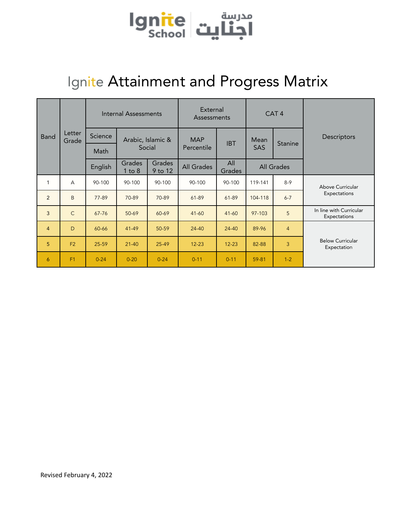

## Ignite Attainment and Progress Matrix

|                |                 | Internal Assessments |                      | External<br>Assessments |            | CAT <sub>4</sub> |            |                |                                         |
|----------------|-----------------|----------------------|----------------------|-------------------------|------------|------------------|------------|----------------|-----------------------------------------|
| <b>Band</b>    | Letter<br>Grade | Science              |                      | Arabic, Islamic &       | <b>MAP</b> | <b>IBT</b>       | Mean       | <b>Stanine</b> | Descriptors                             |
|                |                 | Math                 |                      | Social                  | Percentile |                  | <b>SAS</b> |                |                                         |
|                |                 | English              | Grades<br>$1$ to $8$ | Grades<br>9 to 12       | All Grades | All<br>Grades    |            | All Grades     |                                         |
| 1              | $\overline{A}$  | 90-100               | 90-100               | 90-100                  | 90-100     | 90-100           | 119-141    | $8 - 9$        | Above Curricular                        |
| 2              | B               | 77-89                | 70-89                | 70-89                   | $61 - 89$  | $61 - 89$        | 104-118    | $6 - 7$        | Expectations                            |
| 3              | $\mathsf{C}$    | $67 - 76$            | 50-69                | 60-69                   | $41 - 60$  | $41 - 60$        | $97 - 103$ | 5              | In line with Curricular<br>Expectations |
| $\overline{4}$ | D               | 60-66                | $41 - 49$            | 50-59                   | 24-40      | 24-40            | 89-96      | $\overline{4}$ |                                         |
| 5              | F <sub>2</sub>  | 25-59                | $21 - 40$            | 25-49                   | $12 - 23$  | $12 - 23$        | 82-88      | 3              | <b>Below Curricular</b><br>Expectation  |
| 6              | F1              | $0 - 24$             | $0 - 20$             | $0 - 24$                | $0 - 11$   | $0 - 11$         | 59-81      | $1 - 2$        |                                         |